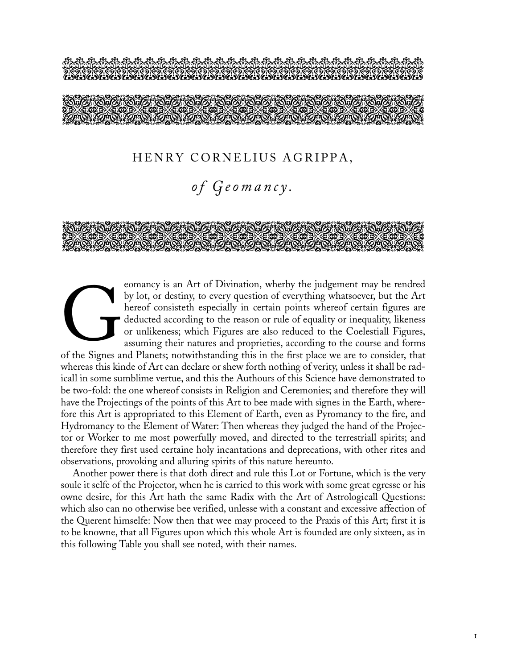## -------------------------------NACE AND NACE AND NACE OF A PARTICULAR COMPANY 1775 SANTAS ALANDAS ALANDAS ALANDAS ANTIQUE DE CANDIDA EN LA CANDIDA EL CANDIDA EL CANDIDA EL CANDIDA EL CAND

# HENRY CORNELIUS AGRIPPA,

### *of G eomancy.*



eomancy is an Art of Divination, wherby the judgement may be rendred by lot, or destiny, to every question of everything whatsoever, but the Art hereof consisteth especially in certain points whereof certain figures are deducted according to the reason or rule of equality or inequality, likeness or unlikeness; which Figures are also reduced to the Coelestiall Figures, assuming their natures and proprieties, according to the course and forms by lot, or destiny, to every question of everything whatsoever, but the Art<br>hereof consisteth especially in certain points whereof certain figures are<br>deducted according to the reason or rule of equality or inequality, lik

whereas this kinde of Art can declare or shew forth nothing of verity, unless it shall be radicall in some sumblime vertue, and this the Authours of this Science have demonstrated to be two-fold: the one whereof consists in Religion and Ceremonies; and therefore they will have the Projectings of the points of this Art to bee made with signes in the Earth, wherefore this Art is appropriated to this Element of Earth, even as Pyromancy to the fire, and Hydromancy to the Element of Water: Then whereas they judged the hand of the Projector or Worker to me most powerfully moved, and directed to the terrestriall spirits; and therefore they first used certaine holy incantations and deprecations, with other rites and observations, provoking and alluring spirits of this nature hereunto.

Another power there is that doth direct and rule this Lot or Fortune, which is the very soule it selfe of the Projector, when he is carried to this work with some great egresse or his owne desire, for this Art hath the same Radix with the Art of Astrologicall Questions: which also can no otherwise bee verified, unlesse with a constant and excessive affection of the Querent himselfe: Now then that wee may proceed to the Praxis of this Art; first it is to be knowne, that all Figures upon which this whole Art is founded are only sixteen, as in this following Table you shall see noted, with their names.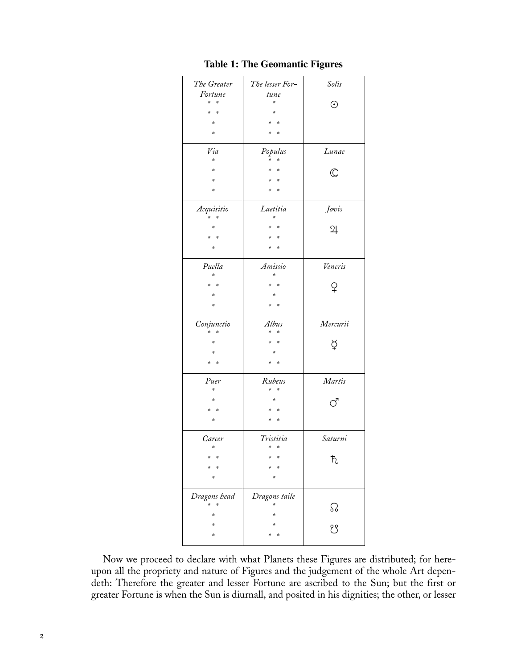| The Greater  | The lesser For-     | Solis        |
|--------------|---------------------|--------------|
| Fortune      | tune                |              |
| ×<br>×       | ×                   | $\odot$      |
|              | ×                   |              |
| ×            | ×                   |              |
|              |                     |              |
| ×            | sk.                 |              |
| Via          | Populus             | Lunae        |
| ×            | ×<br>×.             |              |
| ×            | ×<br>×              |              |
| ×            | ×<br>×              | $\mathbb{C}$ |
|              |                     |              |
| ×            | ×<br>×              |              |
| Acquisitio   | Laetitia            | Jovis        |
| $*$          | ×.                  |              |
|              | ×<br>*              |              |
|              |                     | 2            |
|              | ×<br>*              |              |
| ×            | ×<br>×.             |              |
| Puella       | Amissio             | Veneris      |
| ×            | ×                   |              |
|              |                     |              |
|              |                     | ¥            |
| ×            |                     |              |
| ×            | ×                   |              |
| Conjunctio   | Albus               | Mercurii     |
| *<br>×       | ×.<br>×             |              |
| ×            | ×<br>×              |              |
| sk.          | ×                   | ₫            |
|              |                     |              |
| $\gg$<br>*   | $\mathcal{A}$<br>×. |              |
| Puer         | Rubeus              | Martis       |
| ×            | *.<br>×             |              |
| sk.          | ×                   |              |
|              |                     | ර            |
| ×            | ×<br>×              |              |
| ×            | ×<br>×.             |              |
| Carcer       | Tristitia           | Saturni      |
| ×            | ×<br>×              |              |
|              |                     |              |
|              |                     | $\hbar$      |
|              |                     |              |
|              |                     |              |
| Dragons head | Dragons taile       |              |
| ×<br>sk.     | ×                   |              |
| 綦            | 冰                   | ℅            |
|              |                     |              |
| ×            |                     | ပီ           |
| ∗            |                     |              |
|              |                     |              |

#### **Table 1: The Geomantic Figures**

Now we proceed to declare with what Planets these Figures are distributed; for hereupon all the propriety and nature of Figures and the judgement of the whole Art dependeth: Therefore the greater and lesser Fortune are ascribed to the Sun; but the first or greater Fortune is when the Sun is diurnall, and posited in his dignities; the other, or lesser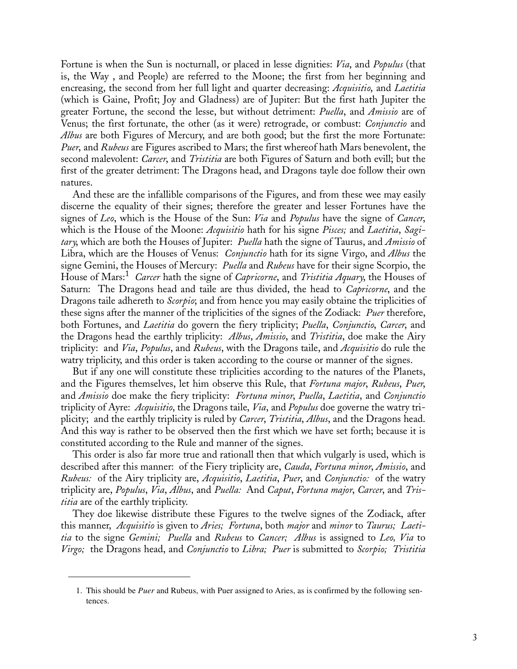Fortune is when the Sun is nocturnall, or placed in lesse dignities: *Via*, and *Populus* (that is, the Way , and People) are referred to the Moone; the first from her beginning and encreasing, the second from her full light and quarter decreasing: *Acquisitio*, and *Laetitia* (which is Gaine, Profit; Joy and Gladness) are of Jupiter: But the first hath Jupiter the greater Fortune, the second the lesse, but without detriment: *Puella*, and *Amissio* are of Venus; the first fortunate, the other (as it were) retrograde, or combust: *Conjunctio* and *Albus* are both Figures of Mercury, and are both good; but the first the more Fortunate: *Puer*, and *Rubeus* are Figures ascribed to Mars; the first whereof hath Mars benevolent, the second malevolent: *Carcer*, and *Tristitia* are both Figures of Saturn and both evill; but the first of the greater detriment: The Dragons head, and Dragons tayle doe follow their own natures.

And these are the infallible comparisons of the Figures, and from these wee may easily discerne the equality of their signes; therefore the greater and lesser Fortunes have the signes of *Leo*, which is the House of the Sun: *Via* and *Populus* have the signe of *Cancer*, which is the House of the Moone: *Acquisitio* hath for his signe *Pisces;* and *Laetitia*, *Sagitary*, which are both the Houses of Jupiter: *Puella* hath the signe of Taurus, and *Amissio* of Libra, which are the Houses of Venus: *Conjunctio* hath for its signe Virgo, and *Albus* the signe Gemini, the Houses of Mercury: *Puella* and *Rubeus* have for their signe Scorpio, the House of Mars:1 *Carcer* hath the signe of *Capricorne*, and *Tristitia Aquary*, the Houses of Saturn: The Dragons head and taile are thus divided, the head to *Capricorne*, and the Dragons taile adhereth to *Scorpio*; and from hence you may easily obtaine the triplicities of these signs after the manner of the triplicities of the signes of the Zodiack: *Puer* therefore, both Fortunes, and *Laetitia* do govern the fiery triplicity; *Puella*, *Conjunctio*, *Carcer*, and the Dragons head the earthly triplicity: *Albus*, *Amissio*, and *Tristitia*, doe make the Airy triplicity: and *Via*, *Populus*, and *Rubeus*, with the Dragons taile, and *Acquisitio* do rule the watry triplicity, and this order is taken according to the course or manner of the signes.

But if any one will constitute these triplicities according to the natures of the Planets, and the Figures themselves, let him observe this Rule, that *Fortuna major*, *Rubeus*, *Puer*, and *Amissio* doe make the fiery triplicity: *Fortuna minor*, *Puella*, *Laetitia*, and *Conjunctio* triplicity of Ayre: *Acquisitio*, the Dragons taile, *Via*, and *Populus* doe governe the watry triplicity; and the earthly triplicity is ruled by *Carcer*, *Tristitia*, *Albus*, and the Dragons head. And this way is rather to be observed then the first which we have set forth; because it is constituted according to the Rule and manner of the signes.

This order is also far more true and rationall then that which vulgarly is used, which is described after this manner: of the Fiery triplicity are, *Cauda*, *Fortuna minor*, *Amissio*, and *Rubeus:* of the Airy triplicity are, *Acquisitio*, *Laetitia*, *Puer*, and *Conjunctio:* of the watry triplicity are, *Populus*, *Via*, *Albus*, and *Puella:* And *Caput*, *Fortuna major*, *Carcer*, and *Tristitia* are of the earthly triplicity.

They doe likewise distribute these Figures to the twelve signes of the Zodiack, after this manner, *Acquisitio* is given to *Aries; Fortuna*, both *major* and *minor* to *Taurus; Laetitia* to the signe *Gemini; Puella* and *Rubeus* to *Cancer; Albus* is assigned to *Leo, Via* to *Virgo;* the Dragons head, and *Conjunctio* to *Libra; Puer* is submitted to *Scorpio; Tristitia*

<sup>1.</sup> This should be *Puer* and Rubeus, with Puer assigned to Aries, as is confirmed by the following sentences.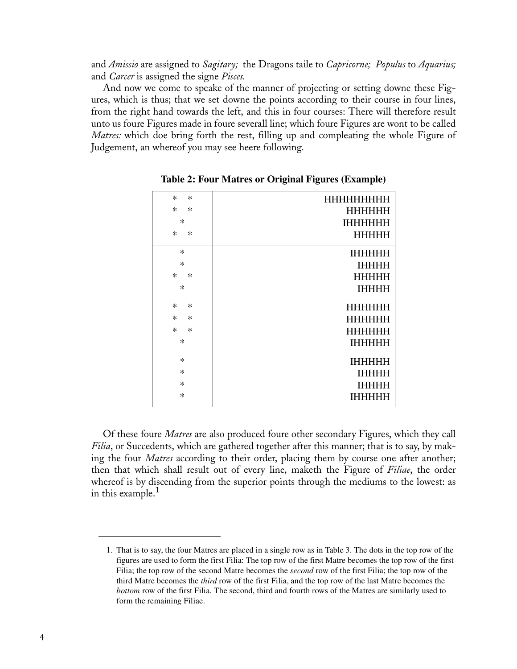and *Amissio* are assigned to *Sagitary;* the Dragons taile to *Capricorne; Populus* to *Aquarius;* and *Carcer* is assigned the signe *Pisces*.

And now we come to speake of the manner of projecting or setting downe these Figures, which is thus; that we set downe the points according to their course in four lines, from the right hand towards the left, and this in four courses: There will therefore result unto us foure Figures made in foure severall line; which foure Figures are wont to be called *Matres:* which doe bring forth the rest, filling up and compleating the whole Figure of Judgement, an whereof you may see heere following.

| $\ast$<br>$\ast$ | HIHIHIHIHIHIHI  |
|------------------|-----------------|
| $\ast$<br>$\ast$ | <b>HHHHHH</b>   |
| $\ast$           | IHHHHHH         |
| $\ast$<br>$\ast$ | <b>HHHHH</b>    |
| $\ast$           | <b>IHHHHHH</b>  |
| $\ast$           | <b>THHHH</b>    |
| $\ast$<br>$\ast$ | <b>HHHHH</b>    |
| $\ast$           | <b>THHHH</b>    |
| $\ast$<br>$\ast$ | HHHHHH          |
| $\ast$<br>$\ast$ | HHHHHH          |
| $\ast$<br>$\ast$ | HHHHHH          |
| $\ast$           | THEFFIELE       |
| $\ast$           | <b>IHHHHH</b>   |
| $\ast$           | <b>THEFFIEL</b> |
| $\ast$           | <b>THHHH</b>    |
| $\ast$           | IHHHHH          |

**Table 2: Four Matres or Original Figures (Example)**

Of these foure *Matres* are also produced foure other secondary Figures, which they call *Filia*, or Succedents, which are gathered together after this manner; that is to say, by making the four *Matres* according to their order, placing them by course one after another; then that which shall result out of every line, maketh the Figure of *Filiae*, the order whereof is by discending from the superior points through the mediums to the lowest: as in this example. $<sup>1</sup>$ </sup>

<sup>1.</sup> That is to say, the four Matres are placed in a single row as in Table 3. The dots in the top row of the figures are used to form the first Filia: The top row of the first Matre becomes the top row of the first Filia; the top row of the second Matre becomes the *second* row of the first Filia; the top row of the third Matre becomes the *third* row of the first Filia, and the top row of the last Matre becomes the *bottom* row of the first Filia. The second, third and fourth rows of the Matres are similarly used to form the remaining Filiae.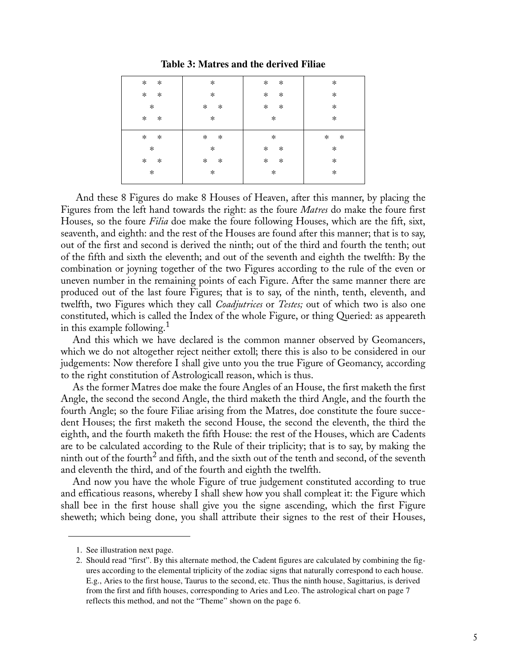#### **Table 3: Matres and the derived Filiae**

| $\ast$<br>$\ast$ | $\ast$           | $\ast$<br>$\ast$ | $\ast$        |
|------------------|------------------|------------------|---------------|
| $\ast$<br>$\ast$ | $\ast$           | $\ast$<br>$\ast$ | $\ast$        |
| $\ast$           | $\ast$<br>$\ast$ | $*$<br>$\ast$    | $\ast$        |
| $\ast$<br>$\ast$ | $\ast$           | $\ast$           | $\ast$        |
|                  |                  |                  |               |
| $*$<br>$\ast$    | $*$ *            | $\ast$           | $\ast$<br>$*$ |
| $\ast$           | $\ast$           | $\ast$<br>$\ast$ | $\ast$        |
| $\ast$<br>$*$    |                  |                  |               |
|                  | $\ast$<br>$\ast$ | $\ast$<br>$\ast$ | $\ast$        |
| $\ast$           | $\ast$           | $\ast$           | $\ast$        |

 And these 8 Figures do make 8 Houses of Heaven, after this manner, by placing the Figures from the left hand towards the right: as the foure *Matres* do make the foure first Houses, so the foure *Filia* doe make the foure following Houses, which are the fift, sixt, seaventh, and eighth: and the rest of the Houses are found after this manner; that is to say, out of the first and second is derived the ninth; out of the third and fourth the tenth; out of the fifth and sixth the eleventh; and out of the seventh and eighth the twelfth: By the combination or joyning together of the two Figures according to the rule of the even or uneven number in the remaining points of each Figure. After the same manner there are produced out of the last foure Figures; that is to say, of the ninth, tenth, eleventh, and twelfth, two Figures which they call *Coadjutrices* or *Testes;* out of which two is also one constituted, which is called the Index of the whole Figure, or thing Queried: as appeareth in this example following. $<sup>1</sup>$ </sup>

And this which we have declared is the common manner observed by Geomancers, which we do not altogether reject neither extoll; there this is also to be considered in our judgements: Now therefore I shall give unto you the true Figure of Geomancy, according to the right constitution of Astrologicall reason, which is thus.

As the former Matres doe make the foure Angles of an House, the first maketh the first Angle, the second the second Angle, the third maketh the third Angle, and the fourth the fourth Angle; so the foure Filiae arising from the Matres, doe constitute the foure succedent Houses; the first maketh the second House, the second the eleventh, the third the eighth, and the fourth maketh the fifth House: the rest of the Houses, which are Cadents are to be calculated according to the Rule of their triplicity; that is to say, by making the ninth out of the fourth<sup>2</sup> and fifth, and the sixth out of the tenth and second, of the seventh and eleventh the third, and of the fourth and eighth the twelfth.

And now you have the whole Figure of true judgement constituted according to true and efficatious reasons, whereby I shall shew how you shall compleat it: the Figure which shall bee in the first house shall give you the signe ascending, which the first Figure sheweth; which being done, you shall attribute their signes to the rest of their Houses,

<sup>1.</sup> See illustration next page.

<sup>2.</sup> Should read "first". By this alternate method, the Cadent figures are calculated by combining the figures according to the elemental triplicity of the zodiac signs that naturally correspond to each house. E.g., Aries to the first house, Taurus to the second, etc. Thus the ninth house, Sagittarius, is derived from the first and fifth houses, corresponding to Aries and Leo. The astrological chart on page 7 reflects this method, and not the "Theme" shown on the page 6.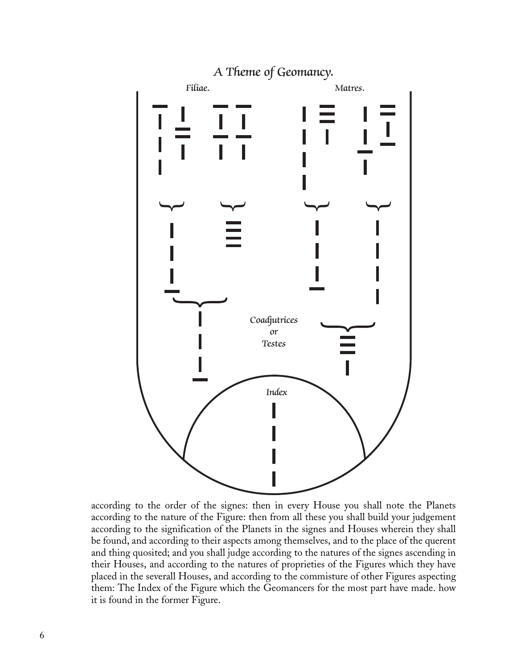

according to the order of the signes: then in every House you shall note the Planets according to the nature of the Figure: then from all these you shall build your judgement according to the signification of the Planets in the signes and Houses wherein they shall be found, and according to their aspects among themselves, and to the place of the querent and thing quosited; and you shall judge according to the natures of the signes ascending in their Houses, and according to the natures of proprieties of the Figures which they have placed in the severall Houses, and according to the commisture of other Figures aspecting them: The Index of the Figure which the Geomancers for the most part have made. how it is found in the former Figure.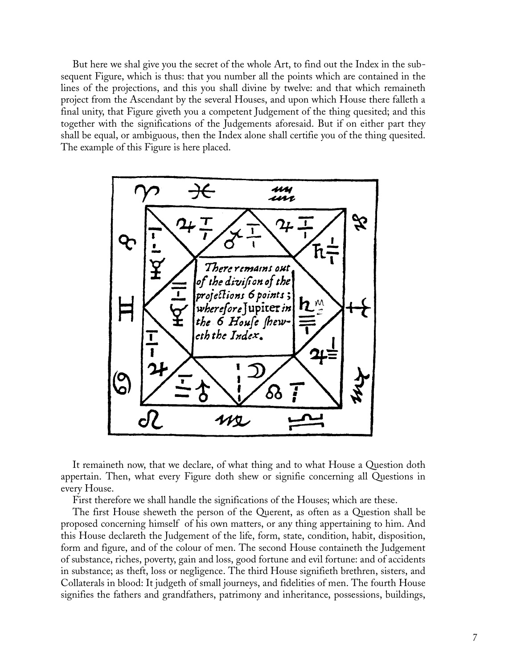But here we shal give you the secret of the whole Art, to find out the Index in the subsequent Figure, which is thus: that you number all the points which are contained in the lines of the projections, and this you shall divine by twelve: and that which remaineth project from the Ascendant by the several Houses, and upon which House there falleth a final unity, that Figure giveth you a competent Judgement of the thing quesited; and this together with the significations of the Judgements aforesaid. But if on either part they shall be equal, or ambiguous, then the Index alone shall certifie you of the thing quesited. The example of this Figure is here placed.



It remaineth now, that we declare, of what thing and to what House a Question doth appertain. Then, what every Figure doth shew or signifie concerning all Questions in every House.

First therefore we shall handle the significations of the Houses; which are these.

The first House sheweth the person of the Querent, as often as a Question shall be proposed concerning himself of his own matters, or any thing appertaining to him. And this House declareth the Judgement of the life, form, state, condition, habit, disposition, form and figure, and of the colour of men. The second House containeth the Judgement of substance, riches, poverty, gain and loss, good fortune and evil fortune: and of accidents in substance; as theft, loss or negligence. The third House signifieth brethren, sisters, and Collaterals in blood: It judgeth of small journeys, and fidelities of men. The fourth House signifies the fathers and grandfathers, patrimony and inheritance, possessions, buildings,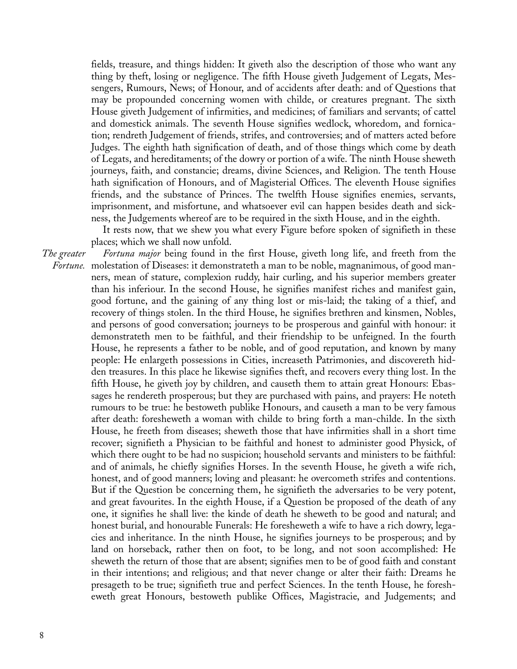fields, treasure, and things hidden: It giveth also the description of those who want any thing by theft, losing or negligence. The fifth House giveth Judgement of Legats, Messengers, Rumours, News; of Honour, and of accidents after death: and of Questions that may be propounded concerning women with childe, or creatures pregnant. The sixth House giveth Judgement of infirmities, and medicines; of familiars and servants; of cattel and domestick animals. The seventh House signifies wedlock, whoredom, and fornication; rendreth Judgement of friends, strifes, and controversies; and of matters acted before Judges. The eighth hath signification of death, and of those things which come by death of Legats, and hereditaments; of the dowry or portion of a wife. The ninth House sheweth journeys, faith, and constancie; dreams, divine Sciences, and Religion. The tenth House hath signification of Honours, and of Magisterial Offices. The eleventh House signifies friends, and the substance of Princes. The twelfth House signifies enemies, servants, imprisonment, and misfortune, and whatsoever evil can happen besides death and sickness, the Judgements whereof are to be required in the sixth House, and in the eighth.

It rests now, that we shew you what every Figure before spoken of signifieth in these places; which we shall now unfold.

*The greater*

*Fortune.* molestation of Diseases: it demonstrateth a man to be noble, magnanimous, of good man-*Fortuna major* being found in the first House, giveth long life, and freeth from the ners, mean of stature, complexion ruddy, hair curling, and his superior members greater than his inferiour. In the second House, he signifies manifest riches and manifest gain, good fortune, and the gaining of any thing lost or mis-laid; the taking of a thief, and recovery of things stolen. In the third House, he signifies brethren and kinsmen, Nobles, and persons of good conversation; journeys to be prosperous and gainful with honour: it demonstrateth men to be faithful, and their friendship to be unfeigned. In the fourth House, he represents a father to be noble, and of good reputation, and known by many people: He enlargeth possessions in Cities, increaseth Patrimonies, and discovereth hidden treasures. In this place he likewise signifies theft, and recovers every thing lost. In the fifth House, he giveth joy by children, and causeth them to attain great Honours: Ebassages he rendereth prosperous; but they are purchased with pains, and prayers: He noteth rumours to be true: he bestoweth publike Honours, and causeth a man to be very famous after death: foresheweth a woman with childe to bring forth a man-childe. In the sixth House, he freeth from diseases; sheweth those that have infirmities shall in a short time recover; signifieth a Physician to be faithful and honest to administer good Physick, of which there ought to be had no suspicion; household servants and ministers to be faithful: and of animals, he chiefly signifies Horses. In the seventh House, he giveth a wife rich, honest, and of good manners; loving and pleasant: he overcometh strifes and contentions. But if the Question be concerning them, he signifieth the adversaries to be very potent, and great favourites. In the eighth House, if a Question be proposed of the death of any one, it signifies he shall live: the kinde of death he sheweth to be good and natural; and honest burial, and honourable Funerals: He foresheweth a wife to have a rich dowry, legacies and inheritance. In the ninth House, he signifies journeys to be prosperous; and by land on horseback, rather then on foot, to be long, and not soon accomplished: He sheweth the return of those that are absent; signifies men to be of good faith and constant in their intentions; and religious; and that never change or alter their faith: Dreams he presageth to be true; signifieth true and perfect Sciences. In the tenth House, he foresheweth great Honours, bestoweth publike Offices, Magistracie, and Judgements; and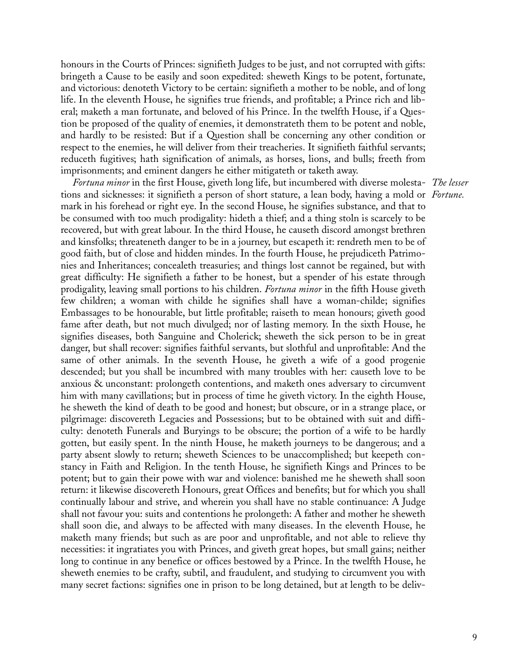honours in the Courts of Princes: signifieth Judges to be just, and not corrupted with gifts: bringeth a Cause to be easily and soon expedited: sheweth Kings to be potent, fortunate, and victorious: denoteth Victory to be certain: signifieth a mother to be noble, and of long life. In the eleventh House, he signifies true friends, and profitable; a Prince rich and liberal; maketh a man fortunate, and beloved of his Prince. In the twelfth House, if a Question be proposed of the quality of enemies, it demonstrateth them to be potent and noble, and hardly to be resisted: But if a Question shall be concerning any other condition or respect to the enemies, he will deliver from their treacheries. It signifieth faithful servants; reduceth fugitives; hath signification of animals, as horses, lions, and bulls; freeth from imprisonments; and eminent dangers he either mitigateth or taketh away.

*The lesser Fortuna minor* in the first House, giveth long life, but incumbered with diverse molesta-*Fortune.* tions and sicknesses: it signifieth a person of short stature, a lean body, having a mold or mark in his forehead or right eye. In the second House, he signifies substance, and that to be consumed with too much prodigality: hideth a thief; and a thing stoln is scarcely to be recovered, but with great labour. In the third House, he causeth discord amongst brethren and kinsfolks; threateneth danger to be in a journey, but escapeth it: rendreth men to be of good faith, but of close and hidden mindes. In the fourth House, he prejudiceth Patrimonies and Inheritances; concealeth treasuries; and things lost cannot be regained, but with great difficulty: He signifieth a father to be honest, but a spender of his estate through prodigality, leaving small portions to his children. *Fortuna minor* in the fifth House giveth few children; a woman with childe he signifies shall have a woman-childe; signifies Embassages to be honourable, but little profitable; raiseth to mean honours; giveth good fame after death, but not much divulged; nor of lasting memory. In the sixth House, he signifies diseases, both Sanguine and Cholerick; sheweth the sick person to be in great danger, but shall recover: signifies faithful servants, but slothful and unprofitable: And the same of other animals. In the seventh House, he giveth a wife of a good progenie descended; but you shall be incumbred with many troubles with her: causeth love to be anxious & unconstant: prolongeth contentions, and maketh ones adversary to circumvent him with many cavillations; but in process of time he giveth victory. In the eighth House, he sheweth the kind of death to be good and honest; but obscure, or in a strange place, or pilgrimage: discovereth Legacies and Possessions; but to be obtained with suit and difficulty: denoteth Funerals and Buryings to be obscure; the portion of a wife to be hardly gotten, but easily spent. In the ninth House, he maketh journeys to be dangerous; and a party absent slowly to return; sheweth Sciences to be unaccomplished; but keepeth constancy in Faith and Religion. In the tenth House, he signifieth Kings and Princes to be potent; but to gain their powe with war and violence: banished me he sheweth shall soon return: it likewise discovereth Honours, great Offices and benefits; but for which you shall continually labour and strive, and wherein you shall have no stable continuance: A Judge shall not favour you: suits and contentions he prolongeth: A father and mother he sheweth shall soon die, and always to be affected with many diseases. In the eleventh House, he maketh many friends; but such as are poor and unprofitable, and not able to relieve thy necessities: it ingratiates you with Princes, and giveth great hopes, but small gains; neither long to continue in any benefice or offices bestowed by a Prince. In the twelfth House, he sheweth enemies to be crafty, subtil, and fraudulent, and studying to circumvent you with many secret factions: signifies one in prison to be long detained, but at length to be deliv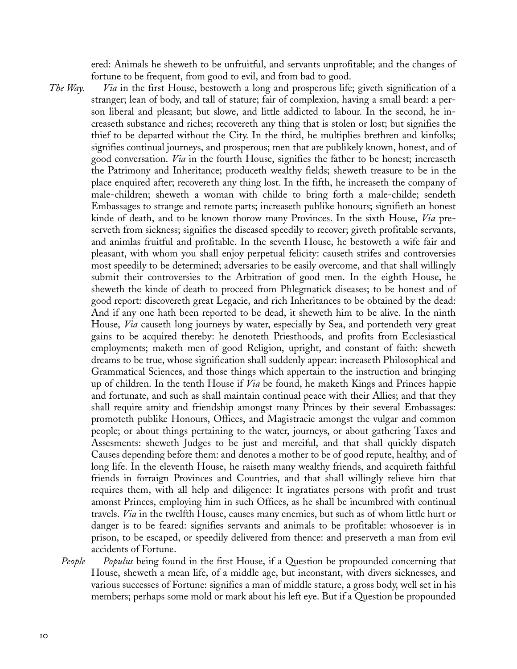ered: Animals he sheweth to be unfruitful, and servants unprofitable; and the changes of fortune to be frequent, from good to evil, and from bad to good.

*The Way. Via* in the first House, bestoweth a long and prosperous life; giveth signification of a stranger; lean of body, and tall of stature; fair of complexion, having a small beard: a person liberal and pleasant; but slowe, and little addicted to labour. In the second, he increaseth substance and riches; recovereth any thing that is stolen or lost; but signifies the thief to be departed without the City. In the third, he multiplies brethren and kinfolks; signifies continual journeys, and prosperous; men that are publikely known, honest, and of good conversation. *Via* in the fourth House, signifies the father to be honest; increaseth the Patrimony and Inheritance; produceth wealthy fields; sheweth treasure to be in the place enquired after; recovereth any thing lost. In the fifth, he increaseth the company of male-children; sheweth a woman with childe to bring forth a male-childe; sendeth Embassages to strange and remote parts; increaseth publike honours; signifieth an honest kinde of death, and to be known thorow many Provinces. In the sixth House, *Via* preserveth from sickness; signifies the diseased speedily to recover; giveth profitable servants, and animlas fruitful and profitable. In the seventh House, he bestoweth a wife fair and pleasant, with whom you shall enjoy perpetual felicity: causeth strifes and controversies most speedily to be determined; adversaries to be easily overcome, and that shall willingly submit their controversies to the Arbitration of good men. In the eighth House, he sheweth the kinde of death to proceed from Phlegmatick diseases; to be honest and of good report: discovereth great Legacie, and rich Inheritances to be obtained by the dead: And if any one hath been reported to be dead, it sheweth him to be alive. In the ninth House, *Via* causeth long journeys by water, especially by Sea, and portendeth very great gains to be acquired thereby: he denoteth Priesthoods, and profits from Ecclesiastical employments; maketh men of good Religion, upright, and constant of faith: sheweth dreams to be true, whose signification shall suddenly appear: increaseth Philosophical and Grammatical Sciences, and those things which appertain to the instruction and bringing up of children. In the tenth House if *Via* be found, he maketh Kings and Princes happie and fortunate, and such as shall maintain continual peace with their Allies; and that they shall require amity and friendship amongst many Princes by their several Embassages: promoteth publike Honours, Offices, and Magistracie amongst the vulgar and common people; or about things pertaining to the water, journeys, or about gathering Taxes and Assesments: sheweth Judges to be just and merciful, and that shall quickly dispatch Causes depending before them: and denotes a mother to be of good repute, healthy, and of long life. In the eleventh House, he raiseth many wealthy friends, and acquireth faithful friends in forraign Provinces and Countries, and that shall willingly relieve him that requires them, with all help and diligence: It ingratiates persons with profit and trust amonst Princes, employing him in such Offices, as he shall be incumbred with continual travels. *Via* in the twelfth House, causes many enemies, but such as of whom little hurt or danger is to be feared: signifies servants and animals to be profitable: whosoever is in prison, to be escaped, or speedily delivered from thence: and preserveth a man from evil accidents of Fortune.

*People Populus* being found in the first House, if a Question be propounded concerning that House, sheweth a mean life, of a middle age, but inconstant, with divers sicknesses, and various successes of Fortune: signifies a man of middle stature, a gross body, well set in his members; perhaps some mold or mark about his left eye. But if a Question be propounded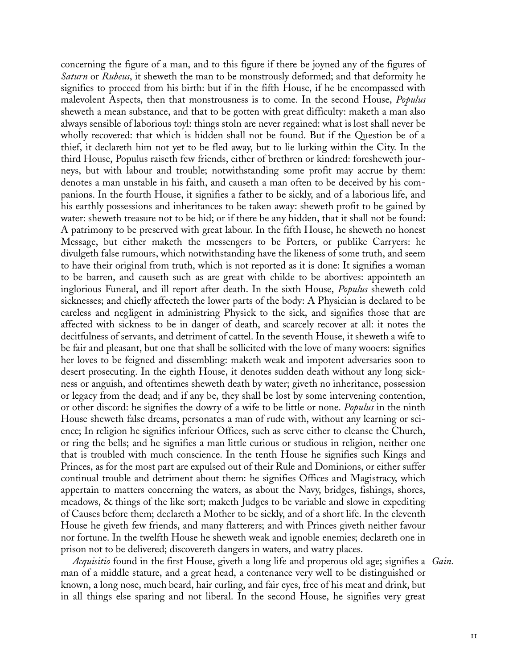concerning the figure of a man, and to this figure if there be joyned any of the figures of *Saturn* or *Rubeus*, it sheweth the man to be monstrously deformed; and that deformity he signifies to proceed from his birth: but if in the fifth House, if he be encompassed with malevolent Aspects, then that monstrousness is to come. In the second House, *Populus* sheweth a mean substance, and that to be gotten with great difficulty: maketh a man also always sensible of laborious toyl: things stoln are never regained: what is lost shall never be wholly recovered: that which is hidden shall not be found. But if the Question be of a thief, it declareth him not yet to be fled away, but to lie lurking within the City. In the third House, Populus raiseth few friends, either of brethren or kindred: foresheweth journeys, but with labour and trouble; notwithstanding some profit may accrue by them: denotes a man unstable in his faith, and causeth a man often to be deceived by his companions. In the fourth House, it signifies a father to be sickly, and of a laborious life, and his earthly possessions and inheritances to be taken away: sheweth profit to be gained by water: sheweth treasure not to be hid; or if there be any hidden, that it shall not be found: A patrimony to be preserved with great labour. In the fifth House, he sheweth no honest Message, but either maketh the messengers to be Porters, or publike Carryers: he divulgeth false rumours, which notwithstanding have the likeness of some truth, and seem to have their original from truth, which is not reported as it is done: It signifies a woman to be barren, and causeth such as are great with childe to be abortives: appointeth an inglorious Funeral, and ill report after death. In the sixth House, *Populus* sheweth cold sicknesses; and chiefly affecteth the lower parts of the body: A Physician is declared to be careless and negligent in administring Physick to the sick, and signifies those that are affected with sickness to be in danger of death, and scarcely recover at all: it notes the decitfulness of servants, and detriment of cattel. In the seventh House, it sheweth a wife to be fair and pleasant, but one that shall be sollicited with the love of many wooers: signifies her loves to be feigned and dissembling: maketh weak and impotent adversaries soon to desert prosecuting. In the eighth House, it denotes sudden death without any long sickness or anguish, and oftentimes sheweth death by water; giveth no inheritance, possession or legacy from the dead; and if any be, they shall be lost by some intervening contention, or other discord: he signifies the dowry of a wife to be little or none. *Populus* in the ninth House sheweth false dreams, personates a man of rude with, without any learning or science; In religion he signifies inferiour Offices, such as serve either to cleanse the Church, or ring the bells; and he signifies a man little curious or studious in religion, neither one that is troubled with much conscience. In the tenth House he signifies such Kings and Princes, as for the most part are expulsed out of their Rule and Dominions, or either suffer continual trouble and detriment about them: he signifies Offices and Magistracy, which appertain to matters concerning the waters, as about the Navy, bridges, fishings, shores, meadows, & things of the like sort; maketh Judges to be variable and slowe in expediting of Causes before them; declareth a Mother to be sickly, and of a short life. In the eleventh House he giveth few friends, and many flatterers; and with Princes giveth neither favour nor fortune. In the twelfth House he sheweth weak and ignoble enemies; declareth one in prison not to be delivered; discovereth dangers in waters, and watry places.

*Acquisitio* found in the first House, giveth a long life and properous old age; signifies a *Gain.* man of a middle stature, and a great head, a contenance very well to be distinguished or known, a long nose, much beard, hair curling, and fair eyes, free of his meat and drink, but in all things else sparing and not liberal. In the second House, he signifies very great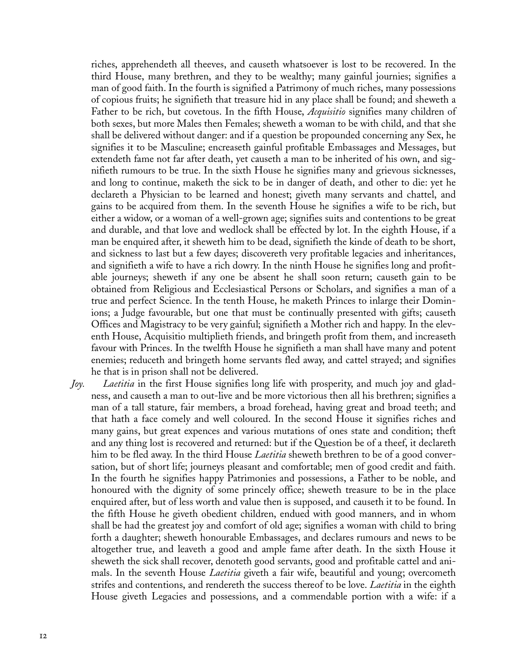riches, apprehendeth all theeves, and causeth whatsoever is lost to be recovered. In the third House, many brethren, and they to be wealthy; many gainful journies; signifies a man of good faith. In the fourth is signified a Patrimony of much riches, many possessions of copious fruits; he signifieth that treasure hid in any place shall be found; and sheweth a Father to be rich, but covetous. In the fifth House, *Acquisitio* signifies many children of both sexes, but more Males then Females; sheweth a woman to be with child, and that she shall be delivered without danger: and if a question be propounded concerning any Sex, he signifies it to be Masculine; encreaseth gainful profitable Embassages and Messages, but extendeth fame not far after death, yet causeth a man to be inherited of his own, and signifieth rumours to be true. In the sixth House he signifies many and grievous sicknesses, and long to continue, maketh the sick to be in danger of death, and other to die: yet he declareth a Physician to be learned and honest; giveth many servants and chattel, and gains to be acquired from them. In the seventh House he signifies a wife to be rich, but either a widow, or a woman of a well-grown age; signifies suits and contentions to be great and durable, and that love and wedlock shall be effected by lot. In the eighth House, if a man be enquired after, it sheweth him to be dead, signifieth the kinde of death to be short, and sickness to last but a few dayes; discovereth very profitable legacies and inheritances, and signifieth a wife to have a rich dowry. In the ninth House he signifies long and profitable journeys; sheweth if any one be absent he shall soon return; causeth gain to be obtained from Religious and Ecclesiastical Persons or Scholars, and signifies a man of a true and perfect Science. In the tenth House, he maketh Princes to inlarge their Dominions; a Judge favourable, but one that must be continually presented with gifts; causeth Offices and Magistracy to be very gainful; signifieth a Mother rich and happy. In the eleventh House, Acquisitio multiplieth friends, and bringeth profit from them, and increaseth favour with Princes. In the twelfth House he signifieth a man shall have many and potent enemies; reduceth and bringeth home servants fled away, and cattel strayed; and signifies he that is in prison shall not be delivered.

*Joy. Laetitia* in the first House signifies long life with prosperity, and much joy and gladness, and causeth a man to out-live and be more victorious then all his brethren; signifies a man of a tall stature, fair members, a broad forehead, having great and broad teeth; and that hath a face comely and well coloured. In the second House it signifies riches and many gains, but great expences and various mutations of ones state and condition; theft and any thing lost is recovered and returned: but if the Question be of a theef, it declareth him to be fled away. In the third House *Laetitia* sheweth brethren to be of a good conversation, but of short life; journeys pleasant and comfortable; men of good credit and faith. In the fourth he signifies happy Patrimonies and possessions, a Father to be noble, and honoured with the dignity of some princely office; sheweth treasure to be in the place enquired after, but of less worth and value then is supposed, and causeth it to be found. In the fifth House he giveth obedient children, endued with good manners, and in whom shall be had the greatest joy and comfort of old age; signifies a woman with child to bring forth a daughter; sheweth honourable Embassages, and declares rumours and news to be altogether true, and leaveth a good and ample fame after death. In the sixth House it sheweth the sick shall recover, denoteth good servants, good and profitable cattel and animals. In the seventh House *Laetitia* giveth a fair wife, beautiful and young; overcometh strifes and contentions, and rendereth the success thereof to be love. *Laetitia* in the eighth House giveth Legacies and possessions, and a commendable portion with a wife: if a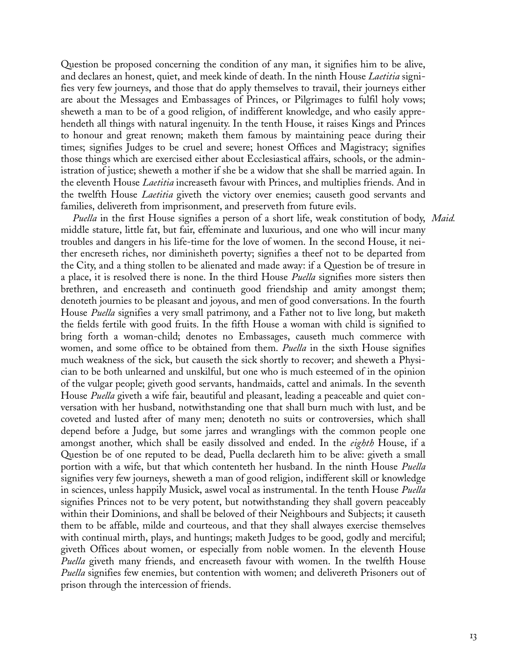Question be proposed concerning the condition of any man, it signifies him to be alive, and declares an honest, quiet, and meek kinde of death. In the ninth House *Laetitia* signifies very few journeys, and those that do apply themselves to travail, their journeys either are about the Messages and Embassages of Princes, or Pilgrimages to fulfil holy vows; sheweth a man to be of a good religion, of indifferent knowledge, and who easily apprehendeth all things with natural ingenuity. In the tenth House, it raises Kings and Princes to honour and great renown; maketh them famous by maintaining peace during their times; signifies Judges to be cruel and severe; honest Offices and Magistracy; signifies those things which are exercised either about Ecclesiastical affairs, schools, or the administration of justice; sheweth a mother if she be a widow that she shall be married again. In the eleventh House *Laetitia* increaseth favour with Princes, and multiplies friends. And in the twelfth House *Laetitia* giveth the victory over enemies; causeth good servants and families, delivereth from imprisonment, and preserveth from future evils.

*Puella* in the first House signifies a person of a short life, weak constitution of body, *Maid.* middle stature, little fat, but fair, effeminate and luxurious, and one who will incur many troubles and dangers in his life-time for the love of women. In the second House, it neither encreseth riches, nor diminisheth poverty; signifies a theef not to be departed from the City, and a thing stollen to be alienated and made away: if a Question be of tresure in a place, it is resolved there is none. In the third House *Puella* signifies more sisters then brethren, and encreaseth and continueth good friendship and amity amongst them; denoteth journies to be pleasant and joyous, and men of good conversations. In the fourth House *Puella* signifies a very small patrimony, and a Father not to live long, but maketh the fields fertile with good fruits. In the fifth House a woman with child is signified to bring forth a woman-child; denotes no Embassages, causeth much commerce with women, and some office to be obtained from them. *Puella* in the sixth House signifies much weakness of the sick, but causeth the sick shortly to recover; and sheweth a Physician to be both unlearned and unskilful, but one who is much esteemed of in the opinion of the vulgar people; giveth good servants, handmaids, cattel and animals. In the seventh House *Puella* giveth a wife fair, beautiful and pleasant, leading a peaceable and quiet conversation with her husband, notwithstanding one that shall burn much with lust, and be coveted and lusted after of many men; denoteth no suits or controversies, which shall depend before a Judge, but some jarres and wranglings with the common people one amongst another, which shall be easily dissolved and ended. In the *eighth* House, if a Question be of one reputed to be dead, Puella declareth him to be alive: giveth a small portion with a wife, but that which contenteth her husband. In the ninth House *Puella* signifies very few journeys, sheweth a man of good religion, indifferent skill or knowledge in sciences, unless happily Musick, aswel vocal as instrumental. In the tenth House *Puella* signifies Princes not to be very potent, but notwithstanding they shall govern peaceably within their Dominions, and shall be beloved of their Neighbours and Subjects; it causeth them to be affable, milde and courteous, and that they shall alwayes exercise themselves with continual mirth, plays, and huntings; maketh Judges to be good, godly and merciful; giveth Offices about women, or especially from noble women. In the eleventh House *Puella* giveth many friends, and encreaseth favour with women. In the twelfth House *Puella* signifies few enemies, but contention with women; and delivereth Prisoners out of prison through the intercession of friends.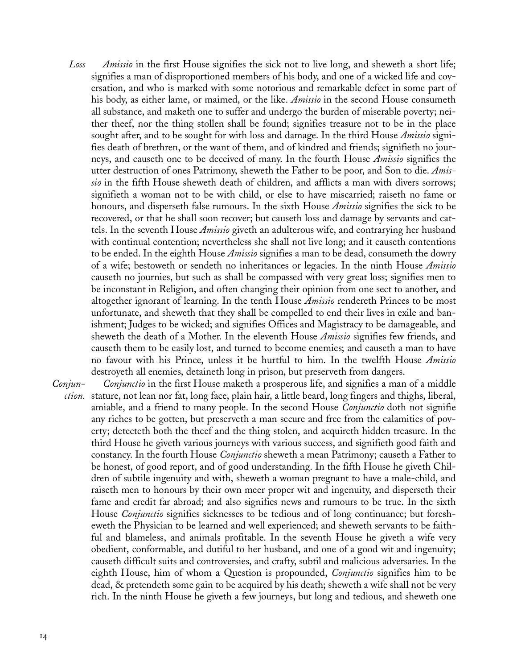*Loss Amissio* in the first House signifies the sick not to live long, and sheweth a short life; signifies a man of disproportioned members of his body, and one of a wicked life and coversation, and who is marked with some notorious and remarkable defect in some part of his body, as either lame, or maimed, or the like. *Amissio* in the second House consumeth all substance, and maketh one to suffer and undergo the burden of miserable poverty; neither theef, nor the thing stollen shall be found; signifies treasure not to be in the place sought after, and to be sought for with loss and damage. In the third House *Amissio* signifies death of brethren, or the want of them, and of kindred and friends; signifieth no journeys, and causeth one to be deceived of many. In the fourth House *Amissio* signifies the utter destruction of ones Patrimony, sheweth the Father to be poor, and Son to die. *Amissio* in the fifth House sheweth death of children, and afflicts a man with divers sorrows; signifieth a woman not to be with child, or else to have miscarried; raiseth no fame or honours, and disperseth false rumours. In the sixth House *Amissio* signifies the sick to be recovered, or that he shall soon recover; but causeth loss and damage by servants and cattels. In the seventh House *Amissio* giveth an adulterous wife, and contrarying her husband with continual contention; nevertheless she shall not live long; and it causeth contentions to be ended. In the eighth House *Amissio* signifies a man to be dead, consumeth the dowry of a wife; bestoweth or sendeth no inheritances or legacies. In the ninth House *Amissio* causeth no journies, but such as shall be compassed with very great loss; signifies men to be inconstant in Religion, and often changing their opinion from one sect to another, and altogether ignorant of learning. In the tenth House *Amissio* rendereth Princes to be most unfortunate, and sheweth that they shall be compelled to end their lives in exile and banishment; Judges to be wicked; and signifies Offices and Magistracy to be damageable, and sheweth the death of a Mother. In the eleventh House *Amissio* signifies few friends, and causeth them to be easily lost, and turned to become enemies; and causeth a man to have no favour with his Prince, unless it be hurtful to him. In the twelfth House *Amissio* destroyeth all enemies, detaineth long in prison, but preserveth from dangers.

*Conjun-*

*ction.* stature, not lean nor fat, long face, plain hair, a little beard, long fingers and thighs, liberal, *Conjunctio* in the first House maketh a prosperous life, and signifies a man of a middle amiable, and a friend to many people. In the second House *Conjunctio* doth not signifie any riches to be gotten, but preserveth a man secure and free from the calamities of poverty; detecteth both the theef and the thing stolen, and acquireth hidden treasure. In the third House he giveth various journeys with various success, and signifieth good faith and constancy. In the fourth House *Conjunctio* sheweth a mean Patrimony; causeth a Father to be honest, of good report, and of good understanding. In the fifth House he giveth Children of subtile ingenuity and with, sheweth a woman pregnant to have a male-child, and raiseth men to honours by their own meer proper wit and ingenuity, and disperseth their fame and credit far abroad; and also signifies news and rumours to be true. In the sixth House *Conjunctio* signifies sicknesses to be tedious and of long continuance; but foresheweth the Physician to be learned and well experienced; and sheweth servants to be faithful and blameless, and animals profitable. In the seventh House he giveth a wife very obedient, conformable, and dutiful to her husband, and one of a good wit and ingenuity; causeth difficult suits and controversies, and crafty, subtil and malicious adversaries. In the eighth House, him of whom a Question is propounded, *Conjunctio* signifies him to be dead, & pretendeth some gain to be acquired by his death; sheweth a wife shall not be very rich. In the ninth House he giveth a few journeys, but long and tedious, and sheweth one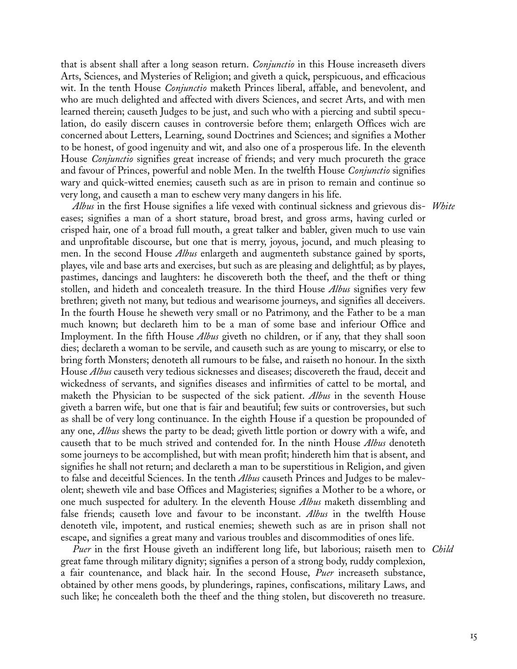that is absent shall after a long season return. *Conjunctio* in this House increaseth divers Arts, Sciences, and Mysteries of Religion; and giveth a quick, perspicuous, and efficacious wit. In the tenth House *Conjunctio* maketh Princes liberal, affable, and benevolent, and who are much delighted and affected with divers Sciences, and secret Arts, and with men learned therein; causeth Judges to be just, and such who with a piercing and subtil speculation, do easily discern causes in controversie before them; enlargeth Offices wich are concerned about Letters, Learning, sound Doctrines and Sciences; and signifies a Mother to be honest, of good ingenuity and wit, and also one of a prosperous life. In the eleventh House *Conjunctio* signifies great increase of friends; and very much procureth the grace and favour of Princes, powerful and noble Men. In the twelfth House *Conjunctio* signifies wary and quick-witted enemies; causeth such as are in prison to remain and continue so very long, and causeth a man to eschew very many dangers in his life.

*Albus* in the first House signifies a life vexed with continual sickness and grievous dis- *White* eases; signifies a man of a short stature, broad brest, and gross arms, having curled or crisped hair, one of a broad full mouth, a great talker and babler, given much to use vain and unprofitable discourse, but one that is merry, joyous, jocund, and much pleasing to men. In the second House *Albus* enlargeth and augmenteth substance gained by sports, playes, vile and base arts and exercises, but such as are pleasing and delightful; as by playes, pastimes, dancings and laughters: he discovereth both the theef, and the theft or thing stollen, and hideth and concealeth treasure. In the third House *Albus* signifies very few brethren; giveth not many, but tedious and wearisome journeys, and signifies all deceivers. In the fourth House he sheweth very small or no Patrimony, and the Father to be a man much known; but declareth him to be a man of some base and inferiour Office and Imployment. In the fifth House *Albus* giveth no children, or if any, that they shall soon dies; declareth a woman to be servile, and causeth such as are young to miscarry, or else to bring forth Monsters; denoteth all rumours to be false, and raiseth no honour. In the sixth House *Albus* causeth very tedious sicknesses and diseases; discovereth the fraud, deceit and wickedness of servants, and signifies diseases and infirmities of cattel to be mortal, and maketh the Physician to be suspected of the sick patient. *Albus* in the seventh House giveth a barren wife, but one that is fair and beautiful; few suits or controversies, but such as shall be of very long continuance. In the eighth House if a question be propounded of any one, *Albus* shews the party to be dead; giveth little portion or dowry with a wife, and causeth that to be much strived and contended for. In the ninth House *Albus* denoteth some journeys to be accomplished, but with mean profit; hindereth him that is absent, and signifies he shall not return; and declareth a man to be superstitious in Religion, and given to false and deceitful Sciences. In the tenth *Albus* causeth Princes and Judges to be malevolent; sheweth vile and base Offices and Magisteries; signifies a Mother to be a whore, or one much suspected for adultery. In the eleventh House *Albus* maketh dissembling and false friends; causeth love and favour to be inconstant. *Albus* in the twelfth House denoteth vile, impotent, and rustical enemies; sheweth such as are in prison shall not escape, and signifies a great many and various troubles and discommodities of ones life.

*Puer* in the first House giveth an indifferent long life, but laborious; raiseth men to *Child* great fame through military dignity; signifies a person of a strong body, ruddy complexion, a fair countenance, and black hair. In the second House, *Puer* increaseth substance, obtained by other mens goods, by plunderings, rapines, confiscations, military Laws, and such like; he concealeth both the theef and the thing stolen, but discovereth no treasure.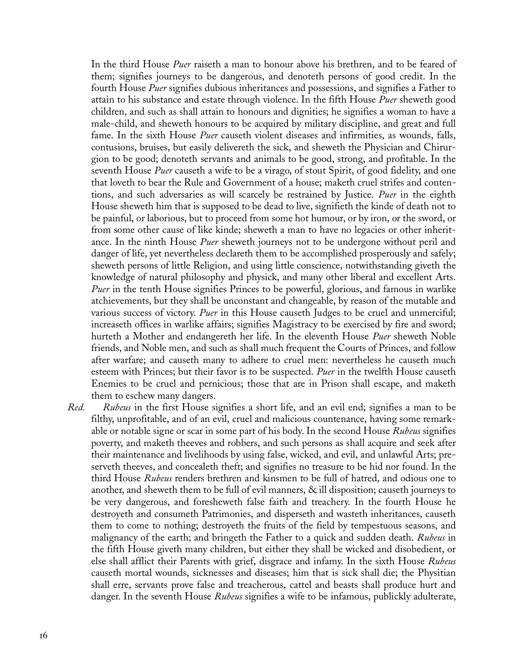In the third House *Puer* raiseth a man to honour above his brethren, and to be feared of them; signifies journeys to be dangerous, and denoteth persons of good credit. In the fourth House *Puer* signifies dubious inheritances and possessions, and signifies a Father to attain to his substance and estate through violence. In the fifth House *Puer* sheweth good children, and such as shall attain to honours and dignities; he signifies a woman to have a male-child, and sheweth honours to be acquired by military discipline, and great and full fame. In the sixth House *Puer* causeth violent diseases and infirmities, as wounds, falls, contusions, bruises, but easily delivereth the sick, and sheweth the Physician and Chirurgion to be good; denoteth servants and animals to be good, strong, and profitable. In the seventh House *Puer* causeth a wife to be a virago, of stout Spirit, of good fidelity, and one that loveth to bear the Rule and Government of a house; maketh cruel strifes and contentions, and such adversaries as will scarcely be restrained by Justice. *Puer* in the eighth House sheweth him that is supposed to be dead to live, signifieth the kinde of death not to be painful, or laborious, but to proceed from some hot humour, or by iron, or the sword, or from some other cause of like kinde; sheweth a man to have no legacies or other inheritance. In the ninth House *Puer* sheweth journeys not to be undergone without peril and danger of life, yet nevertheless declareth them to be accomplished prosperously and safely; sheweth persons of little Religion, and using little conscience, notwithstanding giveth the knowledge of natural philosophy and physick, and many other liberal and excellent Arts. *Puer* in the tenth House signifies Princes to be powerful, glorious, and famous in warlike atchievements, but they shall be unconstant and changeable, by reason of the mutable and various success of victory. *Puer* in this House causeth Judges to be cruel and unmerciful; increaseth offices in warlike affairs; signifies Magistracy to be exercised by fire and sword; hurteth a Mother and endangereth her life. In the eleventh House *Puer* sheweth Noble friends, and Noble men, and such as shall much frequent the Courts of Princes, and follow after warfare; and causeth many to adhere to cruel men: nevertheless he causeth much esteem with Princes; but their favor is to be suspected. *Puer* in the twelfth House causeth Enemies to be cruel and pernicious; those that are in Prison shall escape, and maketh them to eschew many dangers.

*Red. Rubeus* in the first House signifies a short life, and an evil end; signifies a man to be filthy, unprofitable, and of an evil, cruel and malicious countenance, having some remarkable or notable signe or scar in some part of his body. In the second House *Rubeus* signifies poverty, and maketh theeves and robbers, and such persons as shall acquire and seek after their maintenance and livelihoods by using false, wicked, and evil, and unlawful Arts; preserveth theeves, and concealeth theft; and signifies no treasure to be hid nor found. In the third House *Rubeus* renders brethren and kinsmen to be full of hatred, and odious one to another, and sheweth them to be full of evil manners, & ill disposition; causeth journeys to be very dangerous, and foresheweth false faith and treachery. In the fourth House he destroyeth and consumeth Patrimonies, and disperseth and wasteth inheritances, causeth them to come to nothing; destroyeth the fruits of the field by tempestuous seasons, and malignancy of the earth; and bringeth the Father to a quick and sudden death. *Rubeus* in the fifth House giveth many children, but either they shall be wicked and disobedient, or else shall afflict their Parents with grief, disgrace and infamy. In the sixth House *Rubeus* causeth mortal wounds, sicknesses and diseases; him that is sick shall die; the Physitian shall erre, servants prove false and treacherous, cattel and beasts shall produce hurt and danger. In the seventh House *Rubeus* signifies a wife to be infamous, publickly adulterate,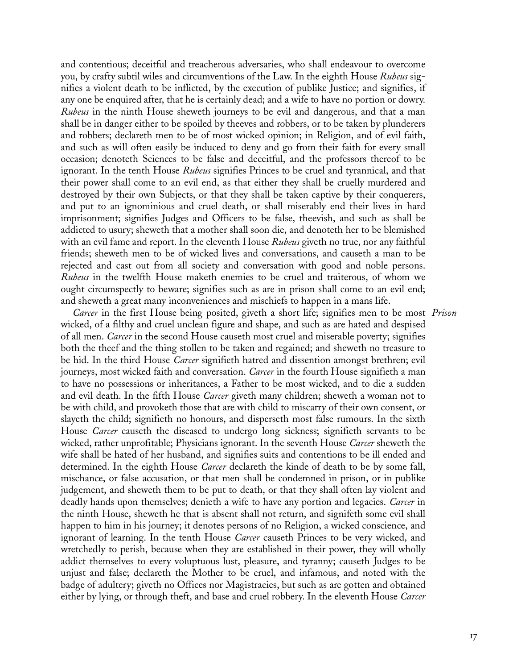and contentious; deceitful and treacherous adversaries, who shall endeavour to overcome you, by crafty subtil wiles and circumventions of the Law. In the eighth House *Rubeus* signifies a violent death to be inflicted, by the execution of publike Justice; and signifies, if any one be enquired after, that he is certainly dead; and a wife to have no portion or dowry. *Rubeus* in the ninth House sheweth journeys to be evil and dangerous, and that a man shall be in danger either to be spoiled by theeves and robbers, or to be taken by plunderers and robbers; declareth men to be of most wicked opinion; in Religion, and of evil faith, and such as will often easily be induced to deny and go from their faith for every small occasion; denoteth Sciences to be false and deceitful, and the professors thereof to be ignorant. In the tenth House *Rubeus* signifies Princes to be cruel and tyrannical, and that their power shall come to an evil end, as that either they shall be cruelly murdered and destroyed by their own Subjects, or that they shall be taken captive by their conquerers, and put to an ignominious and cruel death, or shall miserably end their lives in hard imprisonment; signifies Judges and Officers to be false, theevish, and such as shall be addicted to usury; sheweth that a mother shall soon die, and denoteth her to be blemished with an evil fame and report. In the eleventh House *Rubeus* giveth no true, nor any faithful friends; sheweth men to be of wicked lives and conversations, and causeth a man to be rejected and cast out from all society and conversation with good and noble persons. *Rubeus* in the twelfth House maketh enemies to be cruel and traiterous, of whom we ought circumspectly to beware; signifies such as are in prison shall come to an evil end; and sheweth a great many inconveniences and mischiefs to happen in a mans life.

*Carcer* in the first House being posited, giveth a short life; signifies men to be most *Prison* wicked, of a filthy and cruel unclean figure and shape, and such as are hated and despised of all men. *Carcer* in the second House causeth most cruel and miserable poverty; signifies both the theef and the thing stollen to be taken and regained; and sheweth no treasure to be hid. In the third House *Carcer* signifieth hatred and dissention amongst brethren; evil journeys, most wicked faith and conversation. *Carcer* in the fourth House signifieth a man to have no possessions or inheritances, a Father to be most wicked, and to die a sudden and evil death. In the fifth House *Carcer* giveth many children; sheweth a woman not to be with child, and provoketh those that are with child to miscarry of their own consent, or slayeth the child; signifieth no honours, and disperseth most false rumours. In the sixth House *Carcer* causeth the diseased to undergo long sickness; signifieth servants to be wicked, rather unprofitable; Physicians ignorant. In the seventh House *Carcer* sheweth the wife shall be hated of her husband, and signifies suits and contentions to be ill ended and determined. In the eighth House *Carcer* declareth the kinde of death to be by some fall, mischance, or false accusation, or that men shall be condemned in prison, or in publike judgement, and sheweth them to be put to death, or that they shall often lay violent and deadly hands upon themselves; denieth a wife to have any portion and legacies. *Carcer* in the ninth House, sheweth he that is absent shall not return, and signifeth some evil shall happen to him in his journey; it denotes persons of no Religion, a wicked conscience, and ignorant of learning. In the tenth House *Carcer* causeth Princes to be very wicked, and wretchedly to perish, because when they are established in their power, they will wholly addict themselves to every voluptuous lust, pleasure, and tyranny; causeth Judges to be unjust and false; declareth the Mother to be cruel, and infamous, and noted with the badge of adultery; giveth no Offices nor Magistracies, but such as are gotten and obtained either by lying, or through theft, and base and cruel robbery. In the eleventh House *Carcer*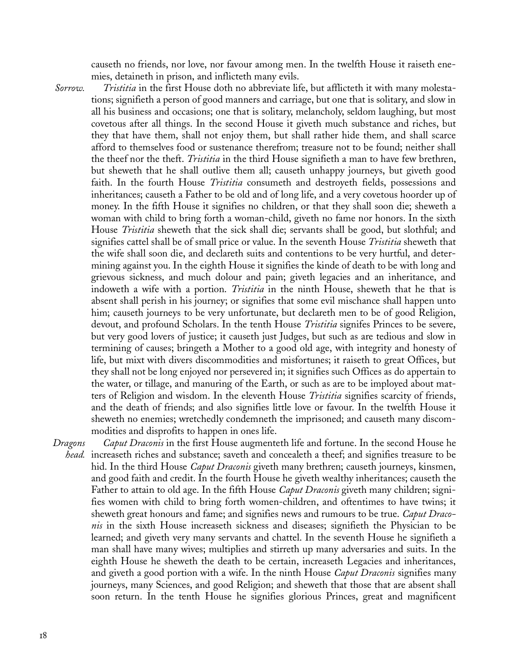causeth no friends, nor love, nor favour among men. In the twelfth House it raiseth enemies, detaineth in prison, and inflicteth many evils.

*Sorrow. Tristitia* in the first House doth no abbreviate life, but afflicteth it with many molestations; signifieth a person of good manners and carriage, but one that is solitary, and slow in all his business and occasions; one that is solitary, melancholy, seldom laughing, but most covetous after all things. In the second House it giveth much substance and riches, but they that have them, shall not enjoy them, but shall rather hide them, and shall scarce afford to themselves food or sustenance therefrom; treasure not to be found; neither shall the theef nor the theft. *Tristitia* in the third House signifieth a man to have few brethren, but sheweth that he shall outlive them all; causeth unhappy journeys, but giveth good faith. In the fourth House *Tristitia* consumeth and destroyeth fields, possessions and inheritances; causeth a Father to be old and of long life, and a very covetous hoorder up of money. In the fifth House it signifies no children, or that they shall soon die; sheweth a woman with child to bring forth a woman-child, giveth no fame nor honors. In the sixth House *Tristitia* sheweth that the sick shall die; servants shall be good, but slothful; and signifies cattel shall be of small price or value. In the seventh House *Tristitia* sheweth that the wife shall soon die, and declareth suits and contentions to be very hurtful, and determining against you. In the eighth House it signifies the kinde of death to be with long and grievous sickness, and much dolour and pain; giveth legacies and an inheritance, and indoweth a wife with a portion. *Tristitia* in the ninth House, sheweth that he that is absent shall perish in his journey; or signifies that some evil mischance shall happen unto him; causeth journeys to be very unfortunate, but declareth men to be of good Religion, devout, and profound Scholars. In the tenth House *Tristitia* signifes Princes to be severe, but very good lovers of justice; it causeth just Judges, but such as are tedious and slow in termining of causes; bringeth a Mother to a good old age, with integrity and honesty of life, but mixt with divers discommodities and misfortunes; it raiseth to great Offices, but they shall not be long enjoyed nor persevered in; it signifies such Offices as do appertain to the water, or tillage, and manuring of the Earth, or such as are to be imployed about matters of Religion and wisdom. In the eleventh House *Tristitia* signifies scarcity of friends, and the death of friends; and also signifies little love or favour. In the twelfth House it sheweth no enemies; wretchedly condemneth the imprisoned; and causeth many discommodities and disprofits to happen in ones life.

*Dragons*

*head.* increaseth riches and substance; saveth and concealeth a theef; and signifies treasure to be *Caput Draconis* in the first House augmenteth life and fortune. In the second House he hid. In the third House *Caput Draconis* giveth many brethren; causeth journeys, kinsmen, and good faith and credit. In the fourth House he giveth wealthy inheritances; causeth the Father to attain to old age. In the fifth House *Caput Draconis* giveth many children; signifies women with child to bring forth women-children, and oftentimes to have twins; it sheweth great honours and fame; and signifies news and rumours to be true. *Caput Draconis* in the sixth House increaseth sickness and diseases; signifieth the Physician to be learned; and giveth very many servants and chattel. In the seventh House he signifieth a man shall have many wives; multiplies and stirreth up many adversaries and suits. In the eighth House he sheweth the death to be certain, increaseth Legacies and inheritances, and giveth a good portion with a wife. In the ninth House *Caput Draconis* signifies many journeys, many Sciences, and good Religion; and sheweth that those that are absent shall soon return. In the tenth House he signifies glorious Princes, great and magnificent